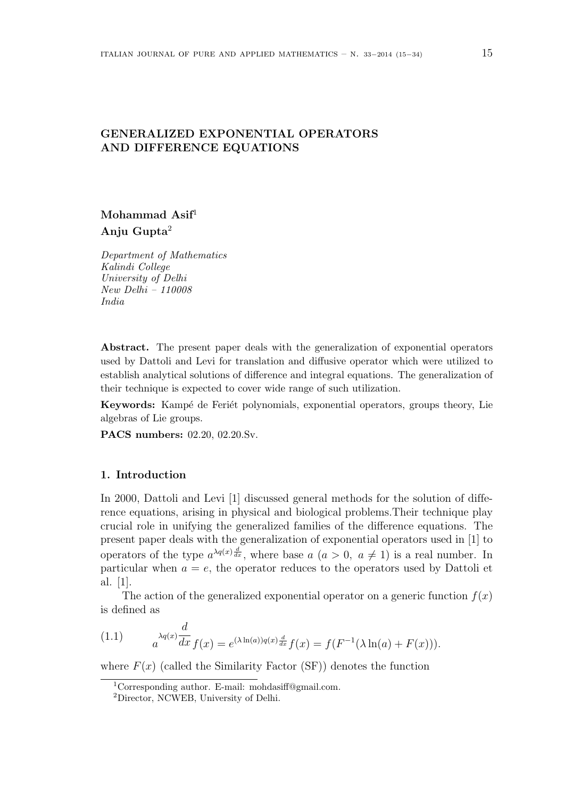# GENERALIZED EXPONENTIAL OPERATORS AND DIFFERENCE EQUATIONS

# Mohammad Asif<sup>1</sup> Anju Gupta $2$

Department of Mathematics Kalindi College University of Delhi New Delhi – 110008 India

Abstract. The present paper deals with the generalization of exponential operators used by Dattoli and Levi for translation and diffusive operator which were utilized to establish analytical solutions of difference and integral equations. The generalization of their technique is expected to cover wide range of such utilization.

Keywords: Kampé de Feriét polynomials, exponential operators, groups theory, Lie algebras of Lie groups.

PACS numbers: 02.20, 02.20.Sv.

## 1. Introduction

In 2000, Dattoli and Levi [1] discussed general methods for the solution of difference equations, arising in physical and biological problems.Their technique play crucial role in unifying the generalized families of the difference equations. The present paper deals with the generalization of exponential operators used in [1] to operators of the type  $a^{\lambda q(x)} \frac{d}{dx}$ , where base  $a$   $(a > 0, a \neq 1)$  is a real number. In particular when  $a = e$ , the operator reduces to the operators used by Dattoli et al. [1].

The action of the generalized exponential operator on a generic function  $f(x)$ is defined as

(1.1) 
$$
a^{\lambda q(x)} \frac{d}{dx} f(x) = e^{(\lambda \ln(a))q(x)} \frac{d}{dx} f(x) = f(F^{-1}(\lambda \ln(a) + F(x))).
$$

where  $F(x)$  (called the Similarity Factor (SF)) denotes the function

<sup>1</sup>Corresponding author. E-mail: mohdasiff@gmail.com.

<sup>2</sup>Director, NCWEB, University of Delhi.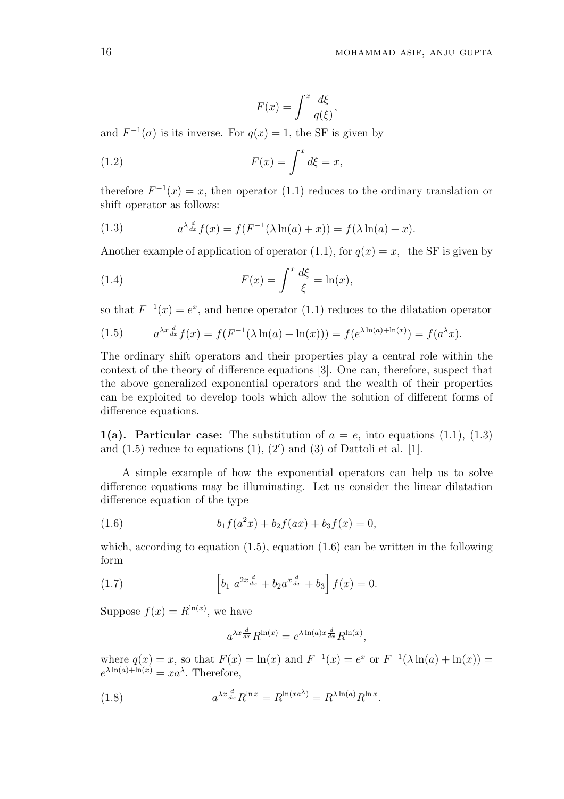$$
F(x) = \int^x \frac{d\xi}{q(\xi)},
$$

and  $F^{-1}(\sigma)$  is its inverse. For  $q(x) = 1$ , the SF is given by

(1.2) 
$$
F(x) = \int^x d\xi = x,
$$

therefore  $F^{-1}(x) = x$ , then operator (1.1) reduces to the ordinary translation or shift operator as follows:

(1.3) 
$$
a^{\lambda \frac{d}{dx}} f(x) = f(F^{-1}(\lambda \ln(a) + x)) = f(\lambda \ln(a) + x).
$$

Another example of application of operator (1.1), for  $q(x) = x$ , the SF is given by

(1.4) 
$$
F(x) = \int^x \frac{d\xi}{\xi} = \ln(x),
$$

so that  $F^{-1}(x) = e^x$ , and hence operator (1.1) reduces to the dilatation operator

(1.5) 
$$
a^{\lambda x \frac{d}{dx}} f(x) = f(F^{-1}(\lambda \ln(a) + \ln(x))) = f(e^{\lambda \ln(a) + \ln(x)}) = f(a^{\lambda} x).
$$

The ordinary shift operators and their properties play a central role within the context of the theory of difference equations [3]. One can, therefore, suspect that the above generalized exponential operators and the wealth of their properties can be exploited to develop tools which allow the solution of different forms of difference equations.

1(a). Particular case: The substitution of  $a = e$ , into equations (1.1), (1.3) and  $(1.5)$  reduce to equations  $(1)$ ,  $(2')$  and  $(3)$  of Dattoli et al. [1].

A simple example of how the exponential operators can help us to solve difference equations may be illuminating. Let us consider the linear dilatation difference equation of the type

(1.6) 
$$
b_1 f(a^2 x) + b_2 f(ax) + b_3 f(x) = 0,
$$

which, according to equation  $(1.5)$ , equation  $(1.6)$  can be written in the following form

(1.7) 
$$
\[b_1 \ a^{2x\frac{d}{dx}} + b_2 a^{x\frac{d}{dx}} + b_3\] f(x) = 0.
$$

Suppose  $f(x) = R^{\ln(x)}$ , we have

$$
a^{\lambda x \frac{d}{dx}} R^{\ln(x)} = e^{\lambda \ln(a) x \frac{d}{dx}} R^{\ln(x)},
$$

where  $q(x) = x$ , so that  $F(x) = \ln(x)$  and  $F^{-1}(x) = e^x$  or  $F^{-1}(\lambda \ln(a) + \ln(x)) =$  $e^{\lambda \ln(a) + \ln(x)} = xa^{\lambda}$ . Therefore,

(1.8) 
$$
a^{\lambda x \frac{d}{dx}} R^{\ln x} = R^{\ln(xa^{\lambda})} = R^{\lambda \ln(a)} R^{\ln x}.
$$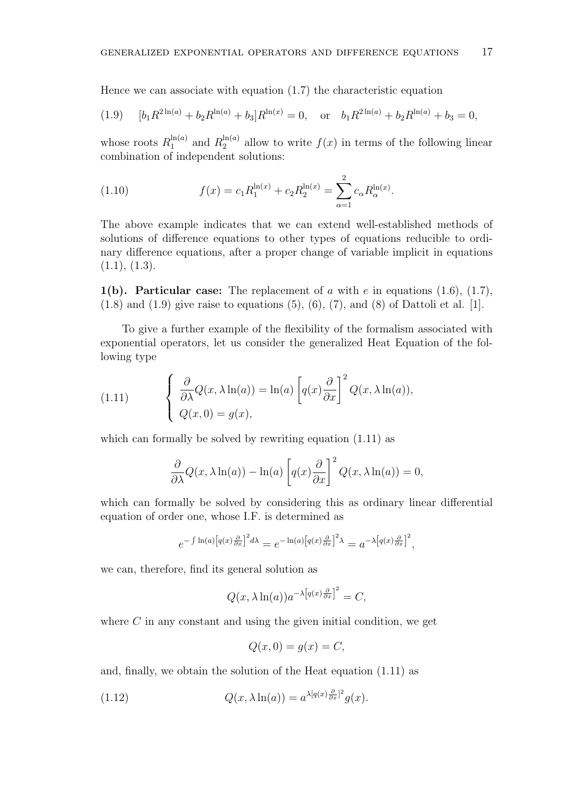Hence we can associate with equation (1.7) the characteristic equation

(1.9) 
$$
[b_1 R^{2\ln(a)} + b_2 R^{\ln(a)} + b_3] R^{\ln(x)} = 0, \text{ or } b_1 R^{2\ln(a)} + b_2 R^{\ln(a)} + b_3 = 0,
$$

whose roots  $R_1^{\ln(a)}$  $l_1^{\ln(a)}$  and  $R_2^{\ln(a)}$  $2^{(\text{m}(a))}$  allow to write  $f(x)$  in terms of the following linear combination of independent solutions:

(1.10) 
$$
f(x) = c_1 R_1^{\ln(x)} + c_2 R_2^{\ln(x)} = \sum_{\alpha=1}^{2} c_{\alpha} R_{\alpha}^{\ln(x)}.
$$

The above example indicates that we can extend well-established methods of solutions of difference equations to other types of equations reducible to ordinary difference equations, after a proper change of variable implicit in equations  $(1.1), (1.3).$ 

1(b). Particular case: The replacement of a with e in equations  $(1.6)$ ,  $(1.7)$ ,  $(1.8)$  and  $(1.9)$  give raise to equations  $(5)$ ,  $(6)$ ,  $(7)$ , and  $(8)$  of Dattoli et al. [1].

To give a further example of the flexibility of the formalism associated with exponential operators, let us consider the generalized Heat Equation of the following type

(1.11) 
$$
\begin{cases} \frac{\partial}{\partial \lambda} Q(x, \lambda \ln(a)) = \ln(a) \left[ q(x) \frac{\partial}{\partial x} \right]^2 Q(x, \lambda \ln(a)), \\ Q(x, 0) = g(x), \end{cases}
$$

which can formally be solved by rewriting equation  $(1.11)$  as

$$
\frac{\partial}{\partial \lambda} Q(x, \lambda \ln(a)) - \ln(a) \left[ q(x) \frac{\partial}{\partial x} \right]^2 Q(x, \lambda \ln(a)) = 0,
$$

which can formally be solved by considering this as ordinary linear differential equation of order one, whose I.F. is determined as

$$
e^{-\int \ln(a)\left[q(x)\frac{\partial}{\partial x}\right]^2 d\lambda} = e^{-\ln(a)\left[q(x)\frac{\partial}{\partial x}\right]^2 \lambda} = a^{-\lambda\left[q(x)\frac{\partial}{\partial x}\right]^2},
$$

we can, therefore, find its general solution as

$$
Q(x, \lambda \ln(a))a^{-\lambda \left[q(x)\frac{\partial}{\partial x}\right]^2} = C,
$$

where  $C$  in any constant and using the given initial condition, we get

$$
Q(x,0) = g(x) = C,
$$

and, finally, we obtain the solution of the Heat equation (1.11) as

(1.12) 
$$
Q(x,\lambda \ln(a)) = a^{\lambda[q(x)\frac{\partial}{\partial x}]^{2}}g(x).
$$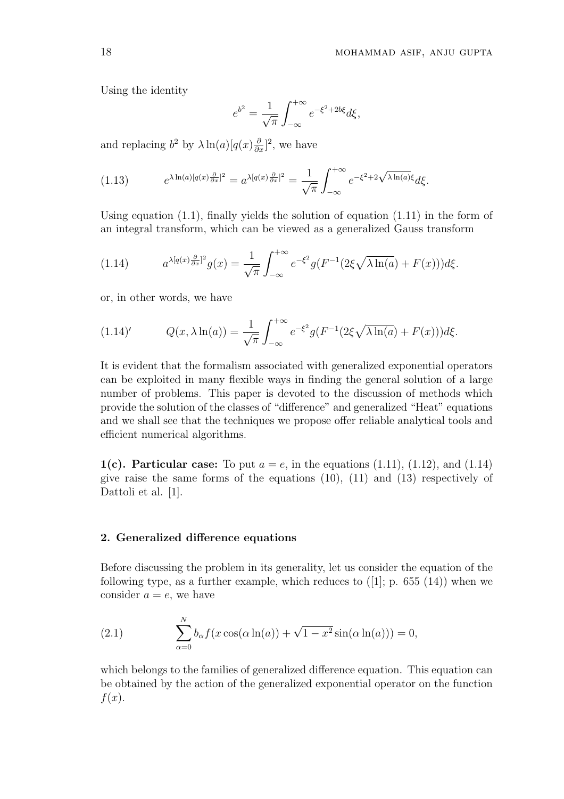Using the identity

$$
e^{b^2} = \frac{1}{\sqrt{\pi}} \int_{-\infty}^{+\infty} e^{-\xi^2 + 2b\xi} d\xi,
$$

and replacing  $b^2$  by  $\lambda \ln(a)[q(x)\frac{\partial}{\partial x}]^2$ , we have

(1.13) 
$$
e^{\lambda \ln(a)[q(x)\frac{\partial}{\partial x}]^2} = a^{\lambda[q(x)\frac{\partial}{\partial x}]^2} = \frac{1}{\sqrt{\pi}} \int_{-\infty}^{+\infty} e^{-\xi^2 + 2\sqrt{\lambda \ln(a)}\xi} d\xi.
$$

Using equation  $(1.1)$ , finally yields the solution of equation  $(1.11)$  in the form of an integral transform, which can be viewed as a generalized Gauss transform

(1.14) 
$$
a^{\lambda[q(x)\frac{\partial}{\partial x}]^2}g(x) = \frac{1}{\sqrt{\pi}} \int_{-\infty}^{+\infty} e^{-\xi^2} g(F^{-1}(2\xi\sqrt{\lambda\ln(a)} + F(x)))d\xi.
$$

or, in other words, we have

(1.14)' 
$$
Q(x, \lambda \ln(a)) = \frac{1}{\sqrt{\pi}} \int_{-\infty}^{+\infty} e^{-\xi^2} g(F^{-1}(2\xi \sqrt{\lambda \ln(a)} + F(x))) d\xi.
$$

It is evident that the formalism associated with generalized exponential operators can be exploited in many flexible ways in finding the general solution of a large number of problems. This paper is devoted to the discussion of methods which provide the solution of the classes of "difference" and generalized "Heat" equations and we shall see that the techniques we propose offer reliable analytical tools and efficient numerical algorithms.

1(c). Particular case: To put  $a = e$ , in the equations (1.11), (1.12), and (1.14) give raise the same forms of the equations (10), (11) and (13) respectively of Dattoli et al. [1].

#### 2. Generalized difference equations

Before discussing the problem in its generality, let us consider the equation of the following type, as a further example, which reduces to  $([1]; p. 655 (14))$  when we consider  $a = e$ , we have

(2.1) 
$$
\sum_{\alpha=0}^{N} b_{\alpha} f(x \cos(\alpha \ln(a)) + \sqrt{1 - x^2} \sin(\alpha \ln(a))) = 0,
$$

which belongs to the families of generalized difference equation. This equation can be obtained by the action of the generalized exponential operator on the function  $f(x)$ .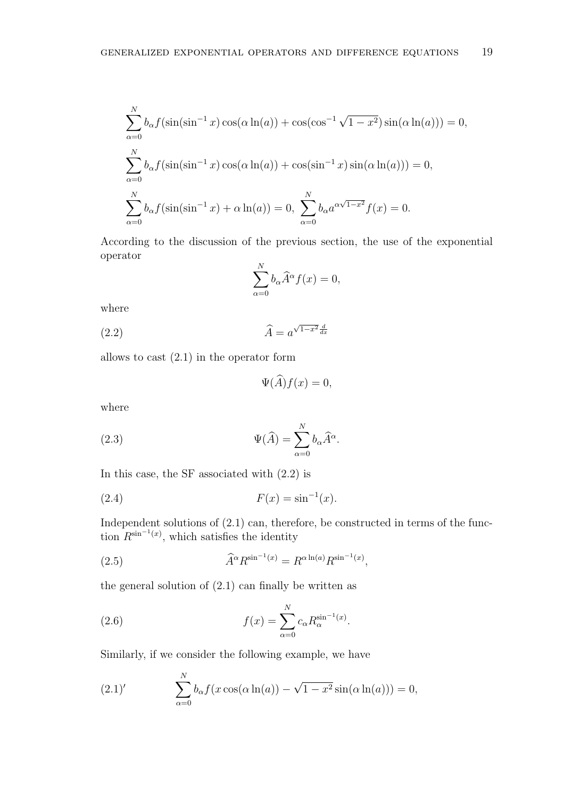$$
\sum_{\alpha=0}^{N} b_{\alpha} f(\sin(\sin^{-1} x) \cos(\alpha \ln(a)) + \cos(\cos^{-1} \sqrt{1 - x^2}) \sin(\alpha \ln(a))) = 0,
$$
  

$$
\sum_{\alpha=0}^{N} b_{\alpha} f(\sin(\sin^{-1} x) \cos(\alpha \ln(a)) + \cos(\sin^{-1} x) \sin(\alpha \ln(a))) = 0,
$$
  

$$
\sum_{\alpha=0}^{N} b_{\alpha} f(\sin(\sin^{-1} x) + \alpha \ln(a)) = 0, \sum_{\alpha=0}^{N} b_{\alpha} a^{\alpha \sqrt{1 - x^2}} f(x) = 0.
$$

According to the discussion of the previous section, the use of the exponential operator

$$
\sum_{\alpha=0}^{N} b_{\alpha} \widehat{A}^{\alpha} f(x) = 0,
$$

where

(2.2)  $\hat{A} = a^{\sqrt{1-x^2} \frac{d}{dx}}$ 

allows to cast (2.1) in the operator form

$$
\Psi(\widehat{A})f(x) = 0,
$$

where

(2.3) 
$$
\Psi(\widehat{A}) = \sum_{\alpha=0}^{N} b_{\alpha} \widehat{A}^{\alpha}.
$$

In this case, the SF associated with (2.2) is

(2.4) 
$$
F(x) = \sin^{-1}(x).
$$

Independent solutions of  $(2.1)$  can, therefore, be constructed in terms of the function  $R^{\sin^{-1}(x)}$ , which satisfies the identity

(2.5) 
$$
\widehat{A}^{\alpha} R^{\sin^{-1}(x)} = R^{\alpha \ln(a)} R^{\sin^{-1}(x)},
$$

the general solution of  $(2.1)$  can finally be written as

(2.6) 
$$
f(x) = \sum_{\alpha=0}^{N} c_{\alpha} R_{\alpha}^{\sin^{-1}(x)}.
$$

N

Similarly, if we consider the following example, we have

(2.1)' 
$$
\sum_{\alpha=0}^{N} b_{\alpha} f(x \cos(\alpha \ln(a)) - \sqrt{1 - x^2} \sin(\alpha \ln(a))) = 0,
$$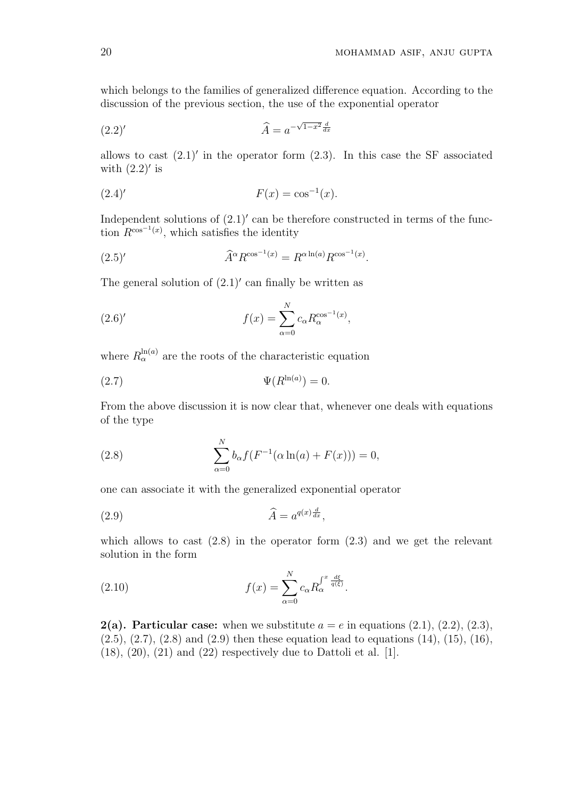which belongs to the families of generalized difference equation. According to the discussion of the previous section, the use of the exponential operator

$$
\widehat{A} = a^{-\sqrt{1-x^2}\frac{d}{dx}}
$$

allows to cast  $(2.1)'$  in the operator form  $(2.3)$ . In this case the SF associated with  $(2.2)'$  is

(2.4)' 
$$
F(x) = \cos^{-1}(x).
$$

Independent solutions of  $(2.1)'$  can be therefore constructed in terms of the function  $R^{\cos^{-1}(x)}$ , which satisfies the identity

$$
\widehat{A}^{\alpha} R^{\cos^{-1}(x)} = R^{\alpha \ln(a)} R^{\cos^{-1}(x)}.
$$

The general solution of  $(2.1)'$  can finally be written as

(2.6)' 
$$
f(x) = \sum_{\alpha=0}^{N} c_{\alpha} R_{\alpha}^{\cos^{-1}(x)},
$$

where  $R_{\alpha}^{\ln(a)}$  are the roots of the characteristic equation

$$
\Psi(R^{\ln(a)}) = 0.
$$

From the above discussion it is now clear that, whenever one deals with equations of the type

(2.8) 
$$
\sum_{\alpha=0}^{N} b_{\alpha} f(F^{-1}(\alpha \ln(a) + F(x))) = 0,
$$

one can associate it with the generalized exponential operator

$$
\widehat{A} = a^{q(x)\frac{d}{dx}},
$$

which allows to cast  $(2.8)$  in the operator form  $(2.3)$  and we get the relevant solution in the form

(2.10) 
$$
f(x) = \sum_{\alpha=0}^{N} c_{\alpha} R_{\alpha}^{\int^{x} \frac{d\xi}{q(\xi)}}.
$$

**2(a). Particular case:** when we substitute  $a = e$  in equations (2.1), (2.2), (2.3),  $(2.5), (2.7), (2.8)$  and  $(2.9)$  then these equation lead to equations  $(14), (15), (16),$  $(18)$ ,  $(20)$ ,  $(21)$  and  $(22)$  respectively due to Dattoli et al. [1].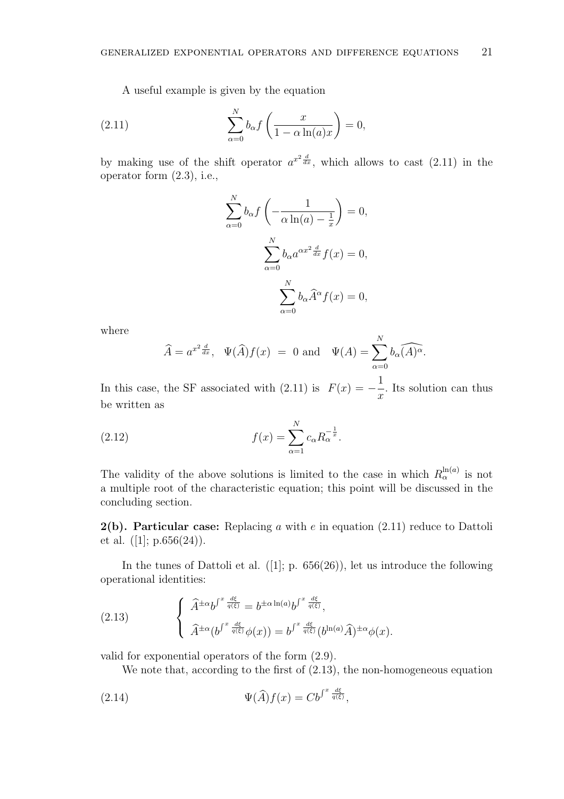A useful example is given by the equation

(2.11) 
$$
\sum_{\alpha=0}^{N} b_{\alpha} f\left(\frac{x}{1-\alpha \ln(a)x}\right) = 0,
$$

by making use of the shift operator  $a^{x^2} \frac{d}{dx}$ , which allows to cast (2.11) in the operator form (2.3), i.e.,

$$
\sum_{\alpha=0}^{N} b_{\alpha} f\left(-\frac{1}{\alpha \ln(a) - \frac{1}{x}}\right) = 0,
$$

$$
\sum_{\alpha=0}^{N} b_{\alpha} a^{\alpha x^{2}} \frac{d}{dx} f(x) = 0,
$$

$$
\sum_{\alpha=0}^{N} b_{\alpha} \widehat{A}^{\alpha} f(x) = 0,
$$

where

$$
\widehat{A} = a^{x^2 \frac{d}{dx}}, \quad \Psi(\widehat{A}) f(x) = 0 \text{ and } \quad \Psi(A) = \sum_{\alpha=0}^{N} b_{\alpha} \widehat{(A)^{\alpha}}.
$$

In this case, the SF associated with  $(2.11)$  is  $F(x) = -$ 1  $\overline{x}$ . Its solution can thus be written as

(2.12) 
$$
f(x) = \sum_{\alpha=1}^{N} c_{\alpha} R_{\alpha}^{-\frac{1}{x}}.
$$

The validity of the above solutions is limited to the case in which  $R_{\alpha}^{\ln(a)}$  is not a multiple root of the characteristic equation; this point will be discussed in the concluding section.

**2(b). Particular case:** Replacing a with  $e$  in equation  $(2.11)$  reduce to Dattoli et al.  $([1]; p.656(24)).$ 

In the tunes of Dattoli et al.  $([1]; p. 656(26))$ , let us introduce the following operational identities:

(2.13) 
$$
\begin{cases} \hat{A}^{\pm\alpha}b^{\int^{x}\frac{d\xi}{q(\xi)}}=b^{\pm\alpha\ln(a)}b^{\int^{x}\frac{d\xi}{q(\xi)}},\\ \hat{A}^{\pm\alpha}(b^{\int^{x}\frac{d\xi}{q(\xi)}}\phi(x))=b^{\int^{x}\frac{d\xi}{q(\xi)}}(b^{\ln(a)}\hat{A})^{\pm\alpha}\phi(x). \end{cases}
$$

valid for exponential operators of the form (2.9).

We note that, according to the first of  $(2.13)$ , the non-homogeneous equation

(2.14) 
$$
\Psi(\widehat{A})f(x) = Cb^{\int^x \frac{d\xi}{q(\xi)}},
$$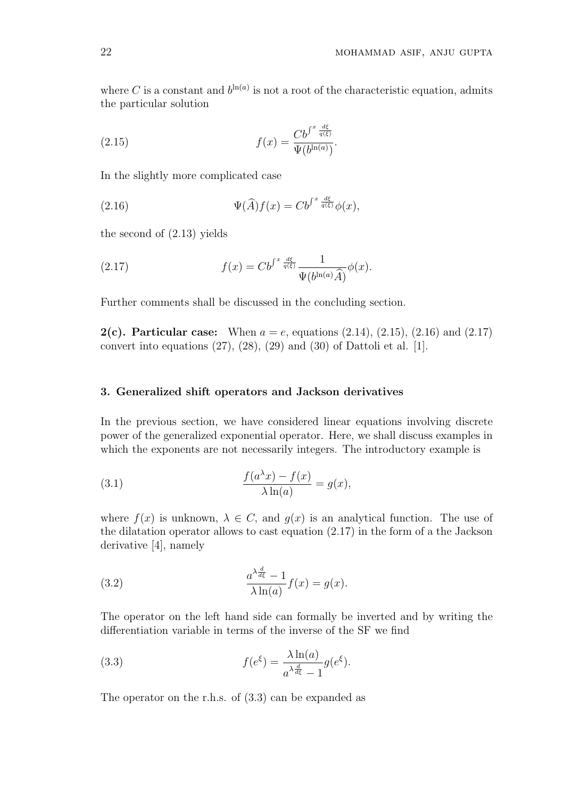where C is a constant and  $b^{\ln(a)}$  is not a root of the characteristic equation, admits the particular solution

(2.15) 
$$
f(x) = \frac{Cb^{\int^x \frac{d\xi}{q(\xi)}}}{\Psi(b^{\ln(a)})}.
$$

In the slightly more complicated case

(2.16) 
$$
\Psi(\widehat{A})f(x) = C b^{\int^x \frac{d\xi}{q(\xi)}} \phi(x),
$$

the second of (2.13) yields

(2.17) 
$$
f(x) = C b^{\int^x \frac{d\xi}{q(\xi)}} \frac{1}{\Psi(b^{\ln(a)}\widehat{A})} \phi(x).
$$

Further comments shall be discussed in the concluding section.

**2(c). Particular case:** When  $a = e$ , equations (2.14), (2.15), (2.16) and (2.17) convert into equations (27), (28), (29) and (30) of Dattoli et al. [1].

## 3. Generalized shift operators and Jackson derivatives

In the previous section, we have considered linear equations involving discrete power of the generalized exponential operator. Here, we shall discuss examples in which the exponents are not necessarily integers. The introductory example is

(3.1) 
$$
\frac{f(a^{\lambda}x) - f(x)}{\lambda \ln(a)} = g(x),
$$

where  $f(x)$  is unknown,  $\lambda \in C$ , and  $g(x)$  is an analytical function. The use of the dilatation operator allows to cast equation (2.17) in the form of a the Jackson derivative [4], namely

(3.2) 
$$
\frac{a^{\lambda \frac{d}{d\xi}} - 1}{\lambda \ln(a)} f(x) = g(x).
$$

The operator on the left hand side can formally be inverted and by writing the differentiation variable in terms of the inverse of the SF we find

(3.3) 
$$
f(e^{\xi}) = \frac{\lambda \ln(a)}{a^{\lambda \frac{d}{d\xi}} - 1} g(e^{\xi}).
$$

The operator on the r.h.s. of (3.3) can be expanded as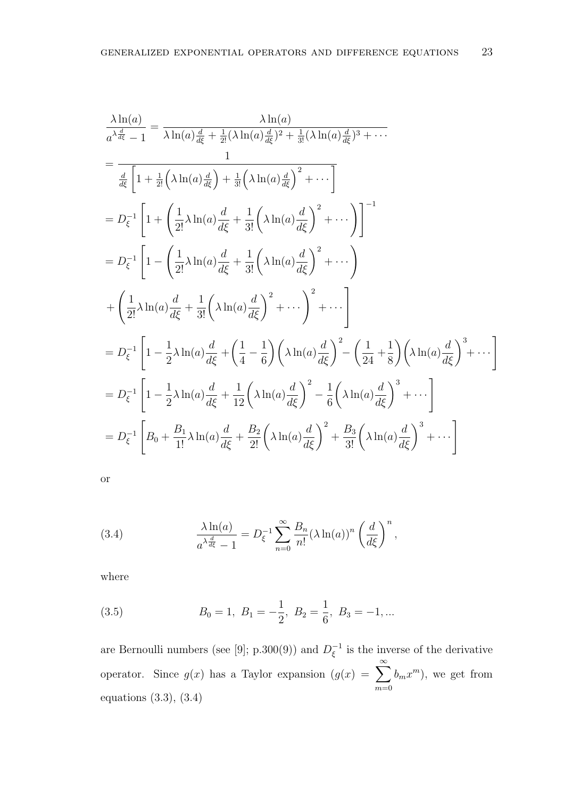$$
\frac{\lambda \ln(a)}{a^{\lambda \frac{d}{d\xi}} - 1} = \frac{\lambda \ln(a)}{\lambda \ln(a) \frac{d}{d\xi} + \frac{1}{2!} (\lambda \ln(a) \frac{d}{d\xi})^2 + \frac{1}{3!} (\lambda \ln(a) \frac{d}{d\xi})^3 + \cdots}
$$
\n
$$
= \frac{1}{\frac{d}{d\xi} \left[ 1 + \frac{1}{2!} (\lambda \ln(a) \frac{d}{d\xi}) + \frac{1}{3!} (\lambda \ln(a) \frac{d}{d\xi})^2 + \cdots \right]}
$$
\n
$$
= D_{\xi}^{-1} \left[ 1 + \left( \frac{1}{2!} \lambda \ln(a) \frac{d}{d\xi} + \frac{1}{3!} (\lambda \ln(a) \frac{d}{d\xi})^2 + \cdots \right) \right]^{-1}
$$
\n
$$
= D_{\xi}^{-1} \left[ 1 - \left( \frac{1}{2!} \lambda \ln(a) \frac{d}{d\xi} + \frac{1}{3!} (\lambda \ln(a) \frac{d}{d\xi})^2 + \cdots \right) + \left( \frac{1}{2!} \lambda \ln(a) \frac{d}{d\xi} + \frac{1}{3!} (\lambda \ln(a) \frac{d}{d\xi})^2 + \cdots \right)^2 + \cdots \right]
$$
\n
$$
= D_{\xi}^{-1} \left[ 1 - \frac{1}{2} \lambda \ln(a) \frac{d}{d\xi} + \left( \frac{1}{4} - \frac{1}{6} \right) (\lambda \ln(a) \frac{d}{d\xi})^2 - \left( \frac{1}{24} + \frac{1}{8} \right) (\lambda \ln(a) \frac{d}{d\xi})^3 + \cdots \right]
$$
\n
$$
= D_{\xi}^{-1} \left[ 1 - \frac{1}{2} \lambda \ln(a) \frac{d}{d\xi} + \frac{1}{12} (\lambda \ln(a) \frac{d}{d\xi})^2 - \frac{1}{6} (\lambda \ln(a) \frac{d}{d\xi})^3 + \cdots \right]
$$
\n
$$
= D_{\xi}^{-1} \left[ B_0 + \frac{B_1}{1!} \lambda \ln(a) \frac{d}{d\xi} + \frac{B_2}{2!} (\lambda \ln(a) \frac{d}{d\xi})^2 + \frac{B_3}{3!} (\lambda
$$

(3.4) 
$$
\frac{\lambda \ln(a)}{a^{\lambda \frac{d}{d\xi}} - 1} = D_{\xi}^{-1} \sum_{n=0}^{\infty} \frac{B_n}{n!} (\lambda \ln(a))^n \left(\frac{d}{d\xi}\right)^n,
$$

where

(3.5) 
$$
B_0 = 1, B_1 = -\frac{1}{2}, B_2 = \frac{1}{6}, B_3 = -1, ...
$$

are Bernoulli numbers (see [9]; p.300(9)) and  $D_{\epsilon}^{-1}$  $\zeta^{-1}$  is the inverse of the derivative operator. Since  $g(x)$  has a Taylor expansion  $(g(x)) = \sum_{n=0}^{\infty}$  $m=0$  $(b_m x^m)$ , we get from equations (3.3), (3.4)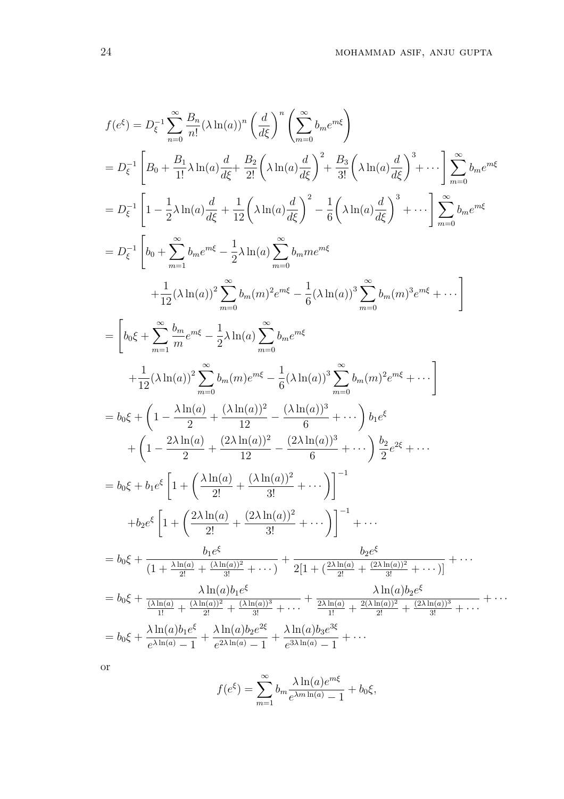$$
f(e^{\xi}) = D_{\xi}^{-1} \sum_{n=0}^{\infty} \frac{B_{n}}{n!} (\lambda \ln(a))^{n} \left(\frac{d}{d\xi}\right)^{n} \left(\sum_{m=0}^{\infty} b_{m}e^{mk}\right)
$$
  
\n
$$
= D_{\xi}^{-1} \left[ B_{0} + \frac{B_{1}}{1!} \lambda \ln(a) \frac{d}{d\xi} + \frac{B_{2}}{2!} \left(\lambda \ln(a) \frac{d}{d\xi}\right)^{2} + \frac{B_{3}}{3!} \left(\lambda \ln(a) \frac{d}{d\xi}\right)^{3} + \cdots \right] \sum_{m=0}^{\infty} b_{m}e^{mk}
$$
  
\n
$$
= D_{\xi}^{-1} \left[ 1 - \frac{1}{2} \lambda \ln(a) \frac{d}{d\xi} + \frac{1}{12} \left(\lambda \ln(a) \frac{d}{d\xi}\right)^{2} - \frac{1}{6} \left(\lambda \ln(a) \frac{d}{d\xi}\right)^{3} + \cdots \right] \sum_{m=0}^{\infty} b_{m}e^{mk}
$$
  
\n
$$
= D_{\xi}^{-1} \left[ b_{0} + \sum_{m=1}^{\infty} b_{m}e^{mk} - \frac{1}{2} \lambda \ln(a) \sum_{m=0}^{\infty} b_{m}me^{mk}
$$
  
\n
$$
+ \frac{1}{12} (\lambda \ln(a))^{2} \sum_{m=0}^{\infty} b_{m}(m)e^{2m\xi} - \frac{1}{6} (\lambda \ln(a))^{3} \sum_{m=0}^{\infty} b_{m}(m)^{3}e^{mk} + \cdots \right]
$$
  
\n
$$
= \left[ b_{0}\xi + \sum_{m=1}^{\infty} \frac{b_{m}}{m}e^{mk} - \frac{1}{2} \lambda \ln(a) \sum_{m=0}^{\infty} b_{m}e^{mk}
$$
  
\n
$$
+ \frac{1}{12} (\lambda \ln(a))^{2} \sum_{m=0}^{\infty} b_{m}(m)e^{mk} - \frac{1}{6} (\lambda \ln(a))^{3} \sum_{m=0}^{\infty} b_{m}(m)^{2}e^{mk} + \cdots \right]
$$
  
\n
$$
= b_{0}\xi + \left( 1
$$

$$
f(e^{\xi}) = \sum_{m=1}^{\infty} b_m \frac{\lambda \ln(a) e^{m\xi}}{e^{\lambda m \ln(a)} - 1} + b_0 \xi,
$$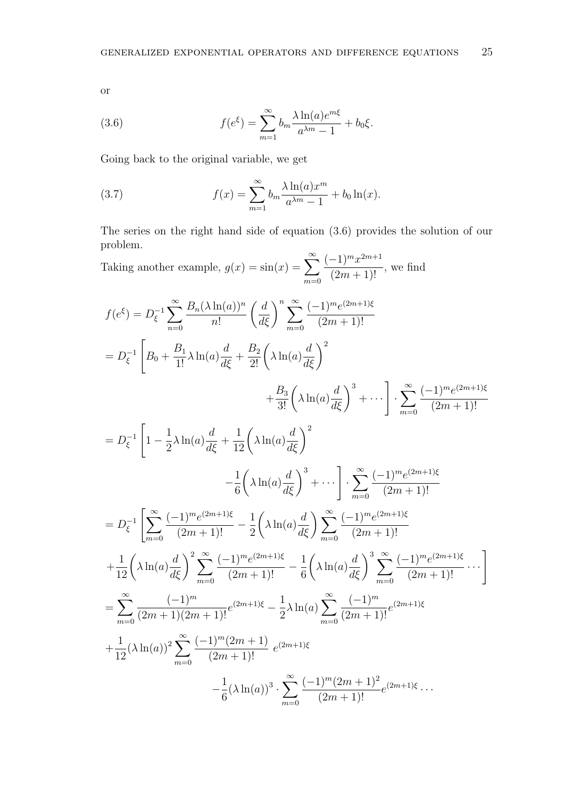(3.6) 
$$
f(e^{\xi}) = \sum_{m=1}^{\infty} b_m \frac{\lambda \ln(a) e^{m\xi}}{a^{\lambda m} - 1} + b_0 \xi.
$$

Going back to the original variable, we get

(3.7) 
$$
f(x) = \sum_{m=1}^{\infty} b_m \frac{\lambda \ln(a) x^m}{a^{\lambda m} - 1} + b_0 \ln(x).
$$

The series on the right hand side of equation (3.6) provides the solution of our problem.

Taking another example,  $g(x) = \sin(x) = \sum_{n=0}^{\infty}$  $m=0$  $(-1)^m x^{2m+1}$  $\frac{1}{(2m+1)!}$ , we find

$$
f(e^{\xi}) = D_{\xi}^{-1} \sum_{n=0}^{\infty} \frac{B_n(\lambda \ln(a))^n}{n!} \left(\frac{d}{d\xi}\right)^n \sum_{m=0}^{\infty} \frac{(-1)^m e^{(2m+1)\xi}}{(2m+1)!}
$$
  
\n
$$
= D_{\xi}^{-1} \left[ B_0 + \frac{B_1}{1!} \lambda \ln(a) \frac{d}{d\xi} + \frac{B_2}{2!} \left(\lambda \ln(a) \frac{d}{d\xi}\right)^2 + \frac{B_3}{3!} \left(\lambda \ln(a) \frac{d}{d\xi}\right)^3 + \cdots \right] \cdot \sum_{m=0}^{\infty} \frac{(-1)^m e^{(2m+1)\xi}}{(2m+1)!}
$$
  
\n
$$
= D_{\xi}^{-1} \left[ 1 - \frac{1}{2} \lambda \ln(a) \frac{d}{d\xi} + \frac{1}{12} \left(\lambda \ln(a) \frac{d}{d\xi}\right)^2 - \frac{1}{6} \left(\lambda \ln(a) \frac{d}{d\xi}\right)^3 + \cdots \right] \cdot \sum_{m=0}^{\infty} \frac{(-1)^m e^{(2m+1)\xi}}{(2m+1)!}
$$
  
\n
$$
= D_{\xi}^{-1} \left[ \sum_{m=0}^{\infty} \frac{(-1)^m e^{(2m+1)\xi}}{(2m+1)!} - \frac{1}{2} \left(\lambda \ln(a) \frac{d}{d\xi}\right) \sum_{m=0}^{\infty} \frac{(-1)^m e^{(2m+1)\xi}}{(2m+1)!}
$$
  
\n
$$
+ \frac{1}{12} \left(\lambda \ln(a) \frac{d}{d\xi}\right)^2 \sum_{m=0}^{\infty} \frac{(-1)^m e^{(2m+1)\xi}}{(2m+1)!} - \frac{1}{6} \left(\lambda \ln(a) \frac{d}{d\xi}\right)^3 \sum_{m=0}^{\infty} \frac{(-1)^m e^{(2m+1)\xi}}{(2m+1)!} \cdot \cdots \right]
$$
  
\n
$$
= \sum_{m=0}^{\infty} \frac{(-1)^m}{(2m+1)(2m+1)!} e^{(2m+1)\xi} - \frac{1}{2} \lambda \ln(a) \sum_{m=0}^{\infty} \frac{(-1)^m
$$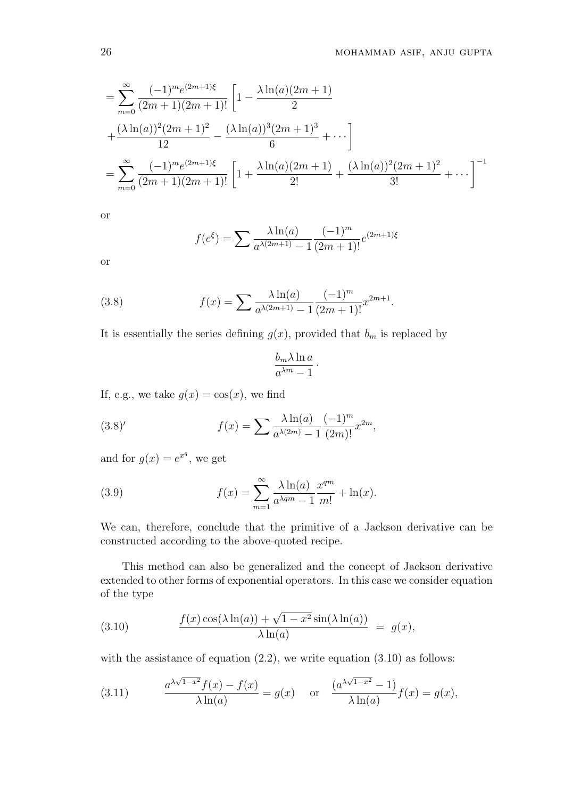$$
= \sum_{m=0}^{\infty} \frac{(-1)^m e^{(2m+1)\xi}}{(2m+1)(2m+1)!} \left[ 1 - \frac{\lambda \ln(a)(2m+1)}{2} + \frac{(\lambda \ln(a))^2 (2m+1)^2}{12} - \frac{(\lambda \ln(a))^3 (2m+1)^3}{6} + \cdots \right]
$$
  
= 
$$
\sum_{m=0}^{\infty} \frac{(-1)^m e^{(2m+1)\xi}}{(2m+1)(2m+1)!} \left[ 1 + \frac{\lambda \ln(a)(2m+1)}{2!} + \frac{(\lambda \ln(a))^2 (2m+1)^2}{3!} + \cdots \right]^{-1}
$$

$$
f(e^{\xi}) = \sum \frac{\lambda \ln(a)}{a^{\lambda(2m+1)} - 1} \frac{(-1)^m}{(2m+1)!} e^{(2m+1)\xi}
$$

or

(3.8) 
$$
f(x) = \sum \frac{\lambda \ln(a)}{a^{\lambda(2m+1)} - 1} \frac{(-1)^m}{(2m+1)!} x^{2m+1}.
$$

It is essentially the series defining  $g(x)$ , provided that  $b_m$  is replaced by

$$
\frac{b_m \lambda \ln a}{a^{\lambda m}-1} \, .
$$

If, e.g., we take  $g(x) = \cos(x)$ , we find

(3.8)' 
$$
f(x) = \sum \frac{\lambda \ln(a)}{a^{\lambda(2m)} - 1} \frac{(-1)^m}{(2m)!} x^{2m},
$$

and for  $g(x) = e^{x^q}$ , we get

(3.9) 
$$
f(x) = \sum_{m=1}^{\infty} \frac{\lambda \ln(a)}{a^{\lambda q m} - 1} \frac{x^{q m}}{m!} + \ln(x).
$$

We can, therefore, conclude that the primitive of a Jackson derivative can be constructed according to the above-quoted recipe.

This method can also be generalized and the concept of Jackson derivative extended to other forms of exponential operators. In this case we consider equation of the type

(3.10) 
$$
\frac{f(x)\cos(\lambda\ln(a)) + \sqrt{1-x^2}\sin(\lambda\ln(a))}{\lambda\ln(a)} = g(x),
$$

with the assistance of equation  $(2.2)$ , we write equation  $(3.10)$  as follows:

(3.11) 
$$
\frac{a^{\lambda\sqrt{1-x^2}}f(x)-f(x)}{\lambda\ln(a)}=g(x) \text{ or } \frac{(a^{\lambda\sqrt{1-x^2}}-1)}{\lambda\ln(a)}f(x)=g(x),
$$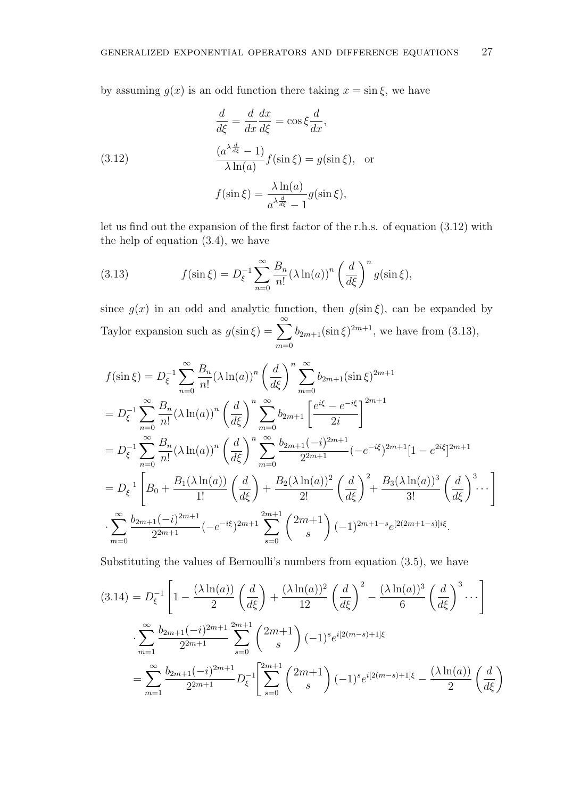by assuming  $g(x)$  is an odd function there taking  $x = \sin \xi$ , we have

(3.12)  
\n
$$
\frac{d}{d\xi} = \frac{d}{dx}\frac{dx}{d\xi} = \cos \xi \frac{d}{dx},
$$
\n
$$
\frac{(a^{\lambda \frac{d}{d\xi}} - 1)}{\lambda \ln(a)} f(\sin \xi) = g(\sin \xi), \text{ or}
$$
\n
$$
f(\sin \xi) = \frac{\lambda \ln(a)}{a^{\lambda \frac{d}{d\xi}} - 1} g(\sin \xi),
$$

let us find out the expansion of the first factor of the r.h.s. of equation (3.12) with the help of equation (3.4), we have

(3.13) 
$$
f(\sin \xi) = D_{\xi}^{-1} \sum_{n=0}^{\infty} \frac{B_n}{n!} (\lambda \ln(a))^n \left(\frac{d}{d\xi}\right)^n g(\sin \xi),
$$

since  $g(x)$  in an odd and analytic function, then  $g(\sin \xi)$ , can be expanded by Taylor expansion such as  $g(\sin \xi) = \sum_{n=0}^{\infty}$  $m=0$  $b_{2m+1}(\sin \xi)^{2m+1}$ , we have from (3.13),

$$
f(\sin \xi) = D_{\xi}^{-1} \sum_{n=0}^{\infty} \frac{B_n}{n!} (\lambda \ln(a))^n \left(\frac{d}{d\xi}\right)^n \sum_{m=0}^{\infty} b_{2m+1} (\sin \xi)^{2m+1}
$$
  
\n
$$
= D_{\xi}^{-1} \sum_{n=0}^{\infty} \frac{B_n}{n!} (\lambda \ln(a))^n \left(\frac{d}{d\xi}\right)^n \sum_{m=0}^{\infty} b_{2m+1} \left[\frac{e^{i\xi} - e^{-i\xi}}{2i}\right]^{2m+1}
$$
  
\n
$$
= D_{\xi}^{-1} \sum_{n=0}^{\infty} \frac{B_n}{n!} (\lambda \ln(a))^n \left(\frac{d}{d\xi}\right)^n \sum_{m=0}^{\infty} \frac{b_{2m+1}(-i)^{2m+1}}{2^{2m+1}} (-e^{-i\xi})^{2m+1} [1 - e^{2i\xi}]^{2m+1}
$$
  
\n
$$
= D_{\xi}^{-1} \left[ B_0 + \frac{B_1(\lambda \ln(a))}{1!} \left(\frac{d}{d\xi}\right) + \frac{B_2(\lambda \ln(a))^2}{2!} \left(\frac{d}{d\xi}\right)^2 + \frac{B_3(\lambda \ln(a))^3}{3!} \left(\frac{d}{d\xi}\right)^3 \cdots \right]
$$
  
\n
$$
\cdot \sum_{m=0}^{\infty} \frac{b_{2m+1}(-i)^{2m+1}}{2^{2m+1}} (-e^{-i\xi})^{2m+1} \sum_{s=0}^{2m+1} {2m+1 \choose s} (-1)^{2m+1-s} e^{[2(2m+1-s)]i\xi}.
$$

Substituting the values of Bernoulli's numbers from equation (3.5), we have

$$
(3.14) = D_{\xi}^{-1} \left[ 1 - \frac{(\lambda \ln(a))}{2} \left( \frac{d}{d\xi} \right) + \frac{(\lambda \ln(a))^2}{12} \left( \frac{d}{d\xi} \right)^2 - \frac{(\lambda \ln(a))^3}{6} \left( \frac{d}{d\xi} \right)^3 \cdots \right]
$$
  

$$
\sum_{m=1}^{\infty} \frac{b_{2m+1}(-i)^{2m+1}}{2^{2m+1}} \sum_{s=0}^{2m+1} {2m+1 \choose s} (-1)^s e^{i[2(m-s)+1]\xi}
$$
  

$$
= \sum_{m=1}^{\infty} \frac{b_{2m+1}(-i)^{2m+1}}{2^{2m+1}} D_{\xi}^{-1} \left[ \sum_{s=0}^{2m+1} {2m+1 \choose s} (-1)^s e^{i[2(m-s)+1]\xi} - \frac{(\lambda \ln(a))}{2} \left( \frac{d}{d\xi} \right) \right]
$$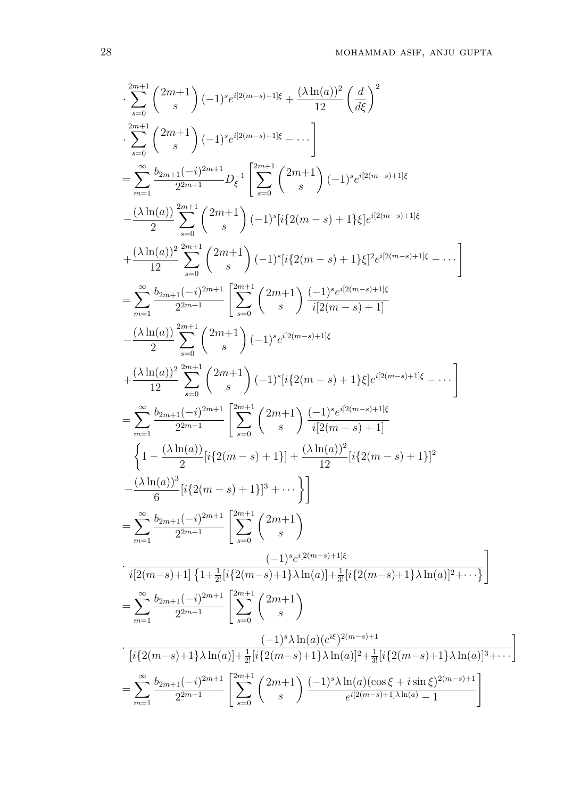$$
\sum_{s=0}^{2m+1} \binom{2m+1}{s} (-1)^s e^{i[2(m-s)+1]\xi} + \frac{(\lambda \ln(a))^2}{12} \left(\frac{d}{d\xi}\right)^2
$$
\n
$$
\sum_{s=0}^{2m+1} \binom{2m+1}{s} (-1)^s e^{i[2(m-s)+1]\xi} - \cdots
$$
\n
$$
= \sum_{m=1}^{\infty} \frac{b_{2m+1}(-i)^{2m+1}}{2^{2m+1}} D_{\xi}^{-1} \left[ \sum_{s=0}^{2m+1} \binom{2m+1}{s} (-1)^s e^{i[2(m-s)+1]\xi} \right.
$$
\n
$$
- \frac{(\lambda \ln(a))^2}{2} \sum_{s=0}^{2m+1} \binom{2m+1}{s} (-1)^s [i\{2(m-s)+1\}\xi] e^{i[2(m-s)+1]\xi} + \frac{(\lambda \ln(a))^2}{12} \sum_{s=0}^{2m+1} \binom{2m+1}{s} (-1)^s [i\{2(m-s)+1\}\xi] e^{i[2(m-s)+1]\xi} - \cdots \right]
$$
\n
$$
= \sum_{m=1}^{\infty} \frac{b_{2m+1}(-i)^{2m+1}}{2^{2m+1}} \left[ \sum_{s=0}^{2m+1} \binom{2m+1}{s} \frac{(-1)^s e^{i[2(m-s)+1]\xi}}{i[2(m-s)+1]} - \frac{(\lambda \ln(a))^2}{2} \sum_{s=0}^{2m+1} \binom{2m+1}{s} (-1)^s e^{i[2(m-s)+1]\xi} + \frac{(\lambda \ln(a))^2}{12} \sum_{s=0}^{2m+1} \binom{2m+1}{s} (-1)^s e^{i[2(m-s)+1]\xi} + \frac{(\lambda \ln(a))^2}{2} \sum_{s=0}^{2m+1} \binom{2m+1}{s} (-1)^s e^{i[2(m-s)+1]\xi} - \cdots \right]
$$
\n
$$
= \sum_{m=1}^{\infty} \frac{b_{2m+1}(-i)^{2m+1}}{2^{2m+1}} \left[ \sum_{s=0}^{2m+1} \binom{2m+1}{s} \frac{(-1)^s e^{i[2(m-s)+1]\xi}}{i[2(m-s)+1]} - \frac{(\
$$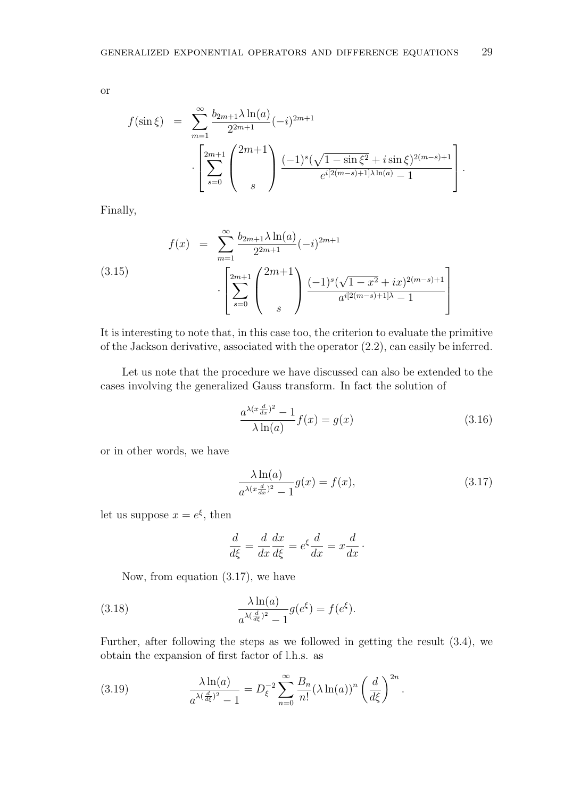$$
f(\sin \xi) = \sum_{m=1}^{\infty} \frac{b_{2m+1} \lambda \ln(a)}{2^{2m+1}} (-i)^{2m+1}
$$

$$
\cdot \left[ \sum_{s=0}^{2m+1} \binom{2m+1}{s} \frac{(-1)^s (\sqrt{1-\sin \xi^2} + i \sin \xi)^{2(m-s)+1}}{e^{i[2(m-s)+1] \lambda \ln(a)} - 1} \right].
$$

Finally,

(3.15) 
$$
f(x) = \sum_{m=1}^{\infty} \frac{b_{2m+1} \lambda \ln(a)}{2^{2m+1}} (-i)^{2m+1} \cdot \left[ \sum_{s=0}^{2m+1} \binom{2m+1}{s} \frac{(-1)^s (\sqrt{1-x^2} + ix)^{2(m-s)+1}}{a^{i[2(m-s)+1]\lambda} - 1} \right]
$$

It is interesting to note that, in this case too, the criterion to evaluate the primitive of the Jackson derivative, associated with the operator (2.2), can easily be inferred.

Let us note that the procedure we have discussed can also be extended to the cases involving the generalized Gauss transform. In fact the solution of

$$
\frac{a^{\lambda(x\frac{d}{dx})^2} - 1}{\lambda \ln(a)} f(x) = g(x)
$$
\n(3.16)

or in other words, we have

$$
\frac{\lambda \ln(a)}{a^{\lambda(x\frac{d}{dx})^2} - 1} g(x) = f(x),\tag{3.17}
$$

let us suppose  $x = e^{\xi}$ , then

$$
\frac{d}{d\xi} = \frac{d}{dx}\frac{dx}{d\xi} = e^{\xi}\frac{d}{dx} = x\frac{d}{dx}.
$$

Now, from equation (3.17), we have

(3.18) 
$$
\frac{\lambda \ln(a)}{a^{\lambda(\frac{d}{d\xi})^2} - 1} g(e^{\xi}) = f(e^{\xi}).
$$

Further, after following the steps as we followed in getting the result (3.4), we obtain the expansion of first factor of l.h.s. as

(3.19) 
$$
\frac{\lambda \ln(a)}{a^{\lambda(\frac{d}{d\xi})^2} - 1} = D_{\xi}^{-2} \sum_{n=0}^{\infty} \frac{B_n}{n!} (\lambda \ln(a))^n \left(\frac{d}{d\xi}\right)^{2n}.
$$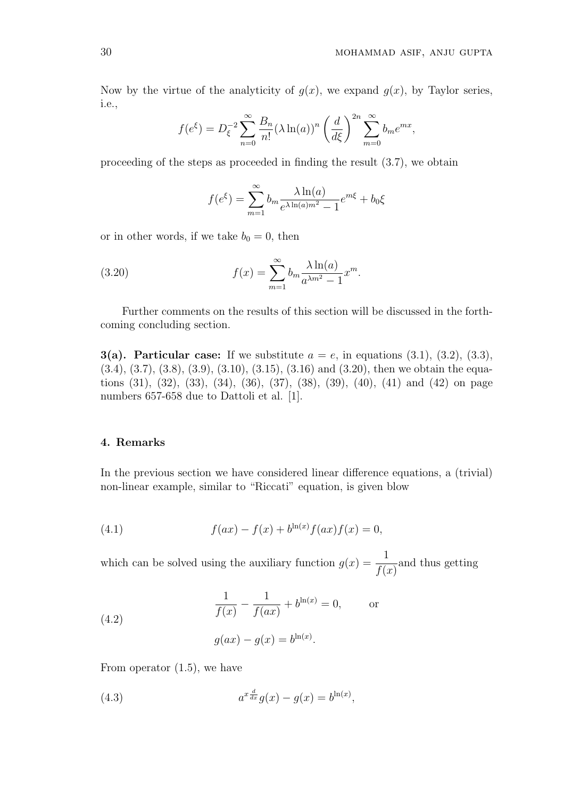Now by the virtue of the analyticity of  $q(x)$ , we expand  $q(x)$ , by Taylor series, i.e.,

$$
f(e^{\xi}) = D_{\xi}^{-2} \sum_{n=0}^{\infty} \frac{B_n}{n!} (\lambda \ln(a))^n \left(\frac{d}{d\xi}\right)^{2n} \sum_{m=0}^{\infty} b_m e^{mx},
$$

proceeding of the steps as proceeded in finding the result (3.7), we obtain

$$
f(e^{\xi}) = \sum_{m=1}^{\infty} b_m \frac{\lambda \ln(a)}{e^{\lambda \ln(a)m^2} - 1} e^{m\xi} + b_0 \xi
$$

or in other words, if we take  $b_0 = 0$ , then

(3.20) 
$$
f(x) = \sum_{m=1}^{\infty} b_m \frac{\lambda \ln(a)}{a^{\lambda m^2} - 1} x^m.
$$

Further comments on the results of this section will be discussed in the forthcoming concluding section.

3(a). Particular case: If we substitute  $a = e$ , in equations (3.1), (3.2), (3.3),  $(3.4), (3.7), (3.8), (3.9), (3.10), (3.15), (3.16)$  and  $(3.20),$  then we obtain the equations (31), (32), (33), (34), (36), (37), (38), (39), (40), (41) and (42) on page numbers 657-658 due to Dattoli et al. [1].

## 4. Remarks

In the previous section we have considered linear difference equations, a (trivial) non-linear example, similar to "Riccati" equation, is given blow

(4.1) 
$$
f(ax) - f(x) + b^{\ln(x)}f(ax)f(x) = 0,
$$

which can be solved using the auxiliary function  $g(x) = \frac{1}{\epsilon}$  $f(x)$ and thus getting

(4.2) 
$$
\frac{1}{f(x)} - \frac{1}{f(ax)} + b^{\ln(x)} = 0, \quad \text{or}
$$

$$
g(ax) - g(x) = b^{\ln(x)}.
$$

From operator (1.5), we have

(4.3) 
$$
a^{x\frac{d}{dx}}g(x) - g(x) = b^{\ln(x)},
$$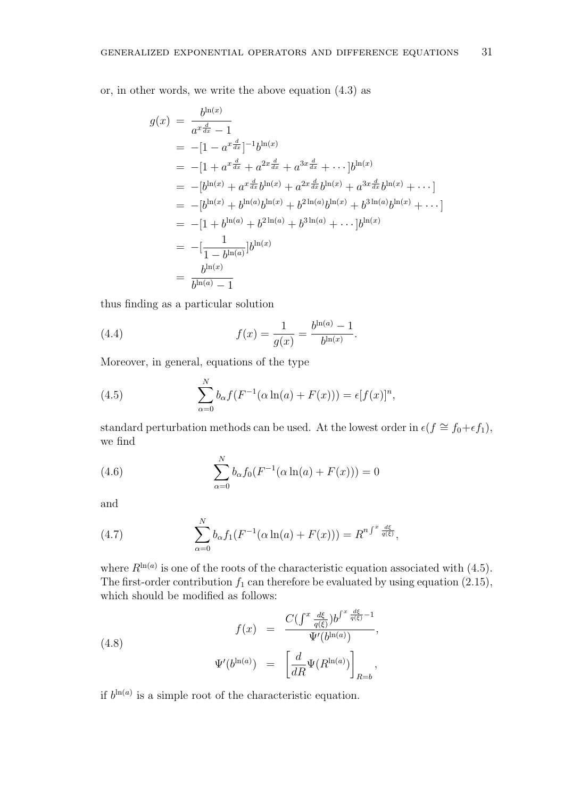or, in other words, we write the above equation (4.3) as

$$
g(x) = \frac{b^{\ln(x)}}{a^x \frac{d}{dx} - 1}
$$
  
\n
$$
= -[1 - a^x \frac{d}{dx}]^{-1} b^{\ln(x)}
$$
  
\n
$$
= -[1 + a^x \frac{d}{dx} + a^{2x} \frac{d}{dx} + a^{3x} \frac{d}{dx} + \cdots] b^{\ln(x)}
$$
  
\n
$$
= -[b^{\ln(x)} + a^x \frac{d}{dx} b^{\ln(x)} + a^{2x} \frac{d}{dx} b^{\ln(x)} + a^{3x} \frac{d}{dx} b^{\ln(x)} + \cdots]
$$
  
\n
$$
= -[b^{\ln(x)} + b^{\ln(a)} b^{\ln(x)} + b^{2\ln(a)} b^{\ln(x)} + b^{3\ln(a)} b^{\ln(x)} + \cdots]
$$
  
\n
$$
= -[1 + b^{\ln(a)} + b^{2\ln(a)} + b^{3\ln(a)} + \cdots] b^{\ln(x)}
$$
  
\n
$$
= -[\frac{1}{1 - b^{\ln(a)}}] b^{\ln(x)}
$$
  
\n
$$
= \frac{b^{\ln(x)}}{b^{\ln(a)} - 1}
$$

thus finding as a particular solution

(4.4) 
$$
f(x) = \frac{1}{g(x)} = \frac{b^{\ln(a)} - 1}{b^{\ln(x)}}.
$$

Moreover, in general, equations of the type

(4.5) 
$$
\sum_{\alpha=0}^{N} b_{\alpha} f(F^{-1}(\alpha \ln(a) + F(x))) = \epsilon [f(x)]^{n},
$$

standard perturbation methods can be used. At the lowest order in  $\epsilon(f \cong f_0 + \epsilon f_1)$ , we find

(4.6) 
$$
\sum_{\alpha=0}^{N} b_{\alpha} f_0(F^{-1}(\alpha \ln(a) + F(x))) = 0
$$

and

(4.7) 
$$
\sum_{\alpha=0}^{N} b_{\alpha} f_1(F^{-1}(\alpha \ln(a) + F(x))) = R^{n \int^{x} \frac{d\xi}{q(\xi)}},
$$

where  $R^{\ln(a)}$  is one of the roots of the characteristic equation associated with (4.5). The first-order contribution  $f_1$  can therefore be evaluated by using equation (2.15), which should be modified as follows:

(4.8)  

$$
f(x) = \frac{C(\int^x \frac{d\xi}{q(\xi)} b^{\int^x \frac{d\xi}{q(\xi)} - 1}}{\Psi'(b^{\ln(a)})},
$$

$$
\Psi'(b^{\ln(a)}) = \left[ \frac{d}{dR} \Psi(R^{\ln(a)}) \right]_{R=b},
$$

if  $b^{\ln(a)}$  is a simple root of the characteristic equation.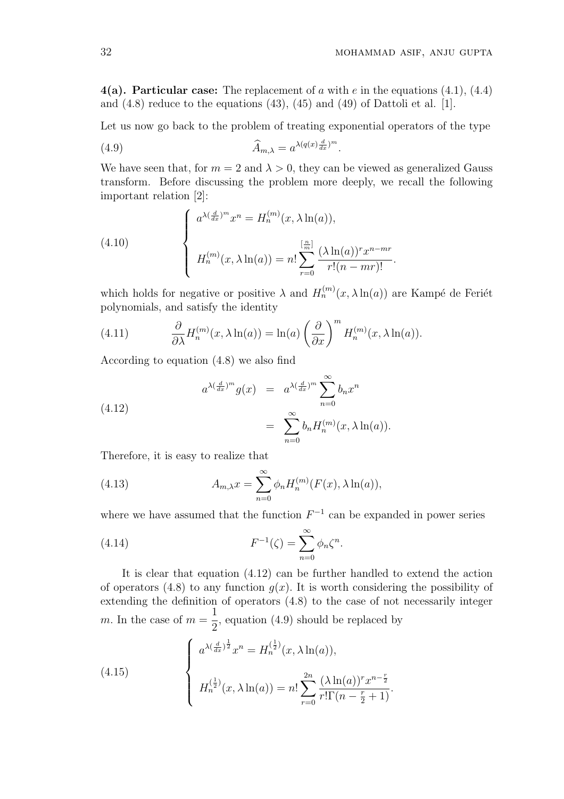4(a). Particular case: The replacement of a with e in the equations  $(4.1)$ ,  $(4.4)$ and  $(4.8)$  reduce to the equations  $(43)$ ,  $(45)$  and  $(49)$  of Dattoli et al. [1].

Let us now go back to the problem of treating exponential operators of the type

.

(4.9) 
$$
\widehat{A}_{m,\lambda} = a^{\lambda(q(x)\frac{d}{dx})^m}
$$

We have seen that, for  $m = 2$  and  $\lambda > 0$ , they can be viewed as generalized Gauss transform. Before discussing the problem more deeply, we recall the following important relation [2]:

(4.10)  

$$
\begin{cases}\na^{\lambda(\frac{d}{dx})^m}x^n = H_n^{(m)}(x, \lambda \ln(a)),\\ \n H_n^{(m)}(x, \lambda \ln(a)) = n! \sum_{r=0}^{\left[\frac{n}{m}\right]} \frac{(\lambda \ln(a))^r x^{n-mr}}{r!(n-mr)!}.\n\end{cases}
$$

which holds for negative or positive  $\lambda$  and  $H_n^{(m)}(x, \lambda \ln(a))$  are Kampé de Feriet polynomials, and satisfy the identity

(4.11) 
$$
\frac{\partial}{\partial \lambda} H_n^{(m)}(x, \lambda \ln(a)) = \ln(a) \left(\frac{\partial}{\partial x}\right)^m H_n^{(m)}(x, \lambda \ln(a)).
$$

According to equation (4.8) we also find

(4.12)  

$$
a^{\lambda(\frac{d}{dx})^m} g(x) = a^{\lambda(\frac{d}{dx})^m} \sum_{n=0}^{\infty} b_n x^n
$$

$$
= \sum_{n=0}^{\infty} b_n H_n^{(m)}(x, \lambda \ln(a)).
$$

Therefore, it is easy to realize that

(4.13) 
$$
A_{m,\lambda} x = \sum_{n=0}^{\infty} \phi_n H_n^{(m)}(F(x), \lambda \ln(a)),
$$

where we have assumed that the function  $F^{-1}$  can be expanded in power series

(4.14) 
$$
F^{-1}(\zeta) = \sum_{n=0}^{\infty} \phi_n \zeta^n.
$$

It is clear that equation (4.12) can be further handled to extend the action of operators (4.8) to any function  $q(x)$ . It is worth considering the possibility of extending the definition of operators (4.8) to the case of not necessarily integer m. In the case of  $m =$ 1 2 , equation (4.9) should be replaced by

(4.15) 
$$
\begin{cases} a^{\lambda(\frac{d}{dx})^{\frac{1}{2}}}x^{n} = H_{n}^{(\frac{1}{2})}(x, \lambda \ln(a)), \\ H_{n}^{(\frac{1}{2})}(x, \lambda \ln(a)) = n! \sum_{r=0}^{2n} \frac{(\lambda \ln(a))^{r} x^{n-\frac{r}{2}}}{r! \Gamma(n-\frac{r}{2}+1)}. \end{cases}
$$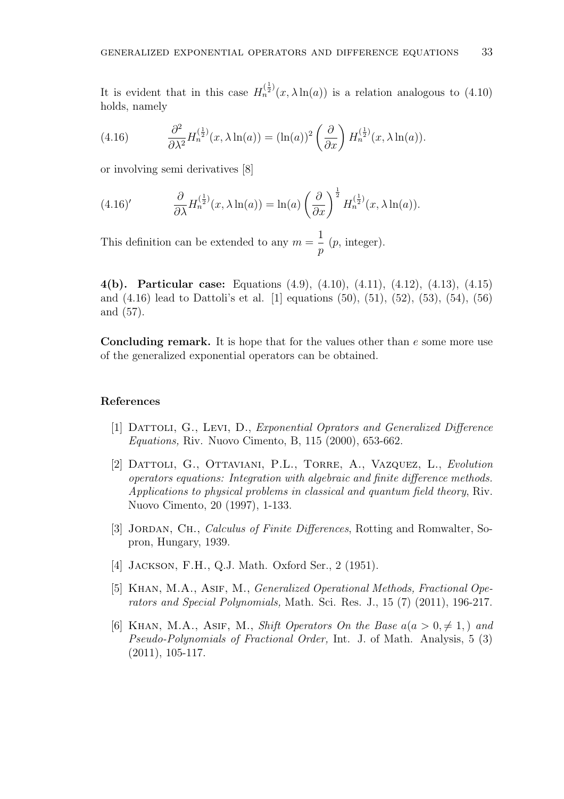It is evident that in this case  $H_n^{(\frac{1}{2})}(x,\lambda \ln(a))$  is a relation analogous to (4.10) holds, namely

(4.16) 
$$
\frac{\partial^2}{\partial \lambda^2} H_n^{(\frac{1}{2})}(x, \lambda \ln(a)) = (\ln(a))^2 \left(\frac{\partial}{\partial x}\right) H_n^{(\frac{1}{2})}(x, \lambda \ln(a)).
$$

or involving semi derivatives [8]

(4.16)' 
$$
\frac{\partial}{\partial \lambda} H_n^{(\frac{1}{2})}(x, \lambda \ln(a)) = \ln(a) \left(\frac{\partial}{\partial x}\right)^{\frac{1}{2}} H_n^{(\frac{1}{2})}(x, \lambda \ln(a)).
$$

This definition can be extended to any  $m =$ 1 p  $(p, \text{integer}).$ 

4(b). Particular case: Equations (4.9), (4.10), (4.11), (4.12), (4.13), (4.15) and (4.16) lead to Dattoli's et al. [1] equations (50), (51), (52), (53), (54), (56) and (57).

Concluding remark. It is hope that for the values other than e some more use of the generalized exponential operators can be obtained.

### References

- [1] Dattoli, G., Levi, D., Exponential Oprators and Generalized Difference Equations, Riv. Nuovo Cimento, B, 115 (2000), 653-662.
- [2] DATTOLI, G., OTTAVIANI, P.L., TORRE, A., VAZQUEZ, L., Evolution operators equations: Integration with algebraic and finite difference methods. Applications to physical problems in classical and quantum field theory, Riv. Nuovo Cimento, 20 (1997), 1-133.
- [3] JORDAN, CH., *Calculus of Finite Differences*, Rotting and Romwalter, Sopron, Hungary, 1939.
- [4] Jackson, F.H., Q.J. Math. Oxford Ser., 2 (1951).
- [5] KHAN, M.A., ASIF, M., Generalized Operational Methods, Fractional Operators and Special Polynomials, Math. Sci. Res. J., 15 (7) (2011), 196-217.
- [6] KHAN, M.A., ASIF, M., Shift Operators On the Base  $a(a > 0, \neq 1)$  and Pseudo-Polynomials of Fractional Order, Int. J. of Math. Analysis, 5 (3) (2011), 105-117.